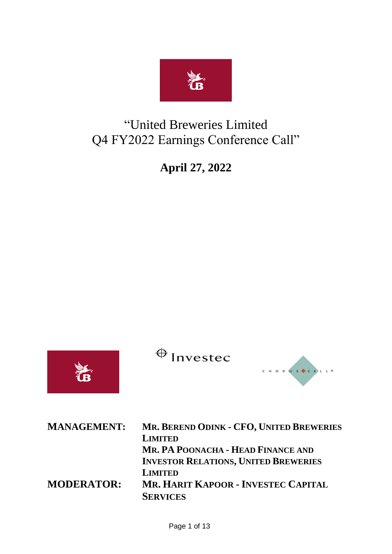

# "United Breweries Limited Q4 FY2022 Earnings Conference Call"

**April 27, 2022** 

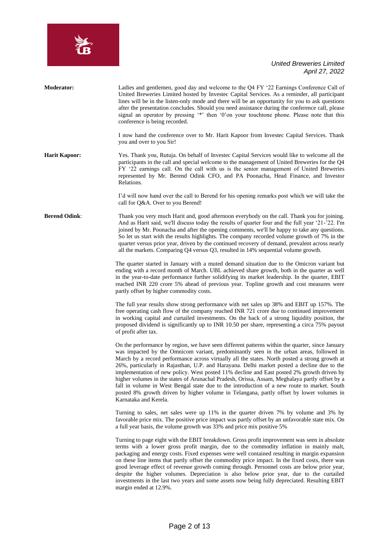

| <b>Moderator:</b>    | Ladies and gentlemen, good day and welcome to the Q4 FY '22 Earnings Conference Call of<br>United Breweries Limited hosted by Investec Capital Services. As a reminder, all participant<br>lines will be in the listen-only mode and there will be an opportunity for you to ask questions<br>after the presentation concludes. Should you need assistance during the conference call, please<br>signal an operator by pressing '*' then '0'on your touchtone phone. Please note that this<br>conference is being recorded.<br>I now hand the conference over to Mr. Harit Kapoor from Investec Capital Services. Thank                                                                                                                                                                                        |
|----------------------|----------------------------------------------------------------------------------------------------------------------------------------------------------------------------------------------------------------------------------------------------------------------------------------------------------------------------------------------------------------------------------------------------------------------------------------------------------------------------------------------------------------------------------------------------------------------------------------------------------------------------------------------------------------------------------------------------------------------------------------------------------------------------------------------------------------|
|                      | you and over to you Sir!                                                                                                                                                                                                                                                                                                                                                                                                                                                                                                                                                                                                                                                                                                                                                                                       |
| <b>Harit Kapoor:</b> | Yes. Thank you, Rutuja. On behalf of Investec Capital Services would like to welcome all the<br>participants in the call and special welcome to the management of United Breweries for the Q4<br>FY '22 earnings call. On the call with us is the senior management of United Breweries<br>represented by Mr. Berend Odink CFO, and PA Poonacha, Head Finance, and Investor<br>Relations.                                                                                                                                                                                                                                                                                                                                                                                                                      |
|                      | I'd will now hand over the call to Berend for his opening remarks post which we will take the<br>call for Q&A. Over to you Berend!                                                                                                                                                                                                                                                                                                                                                                                                                                                                                                                                                                                                                                                                             |
| <b>Berend Odink:</b> | Thank you very much Harit and, good afternoon everybody on the call. Thank you for joining.<br>And as Harit said, we'll discuss today the results of quarter four and the full year '21-'22. I'm<br>joined by Mr. Poonacha and after the opening comments, we'll be happy to take any questions.<br>So let us start with the results highlights. The company recorded volume growth of 7% in the<br>quarter versus prior year, driven by the continued recovery of demand, prevalent across nearly<br>all the markets. Comparing Q4 versus Q3, resulted in 14% sequential volume growth.                                                                                                                                                                                                                       |
|                      | The quarter started in January with a muted demand situation due to the Omicron variant but<br>ending with a record month of March. UBL achieved share growth, both in the quarter as well<br>in the year-to-date performance further solidifying its market leadership. In the quarter, EBIT<br>reached INR 220 crore 5% ahead of previous year. Topline growth and cost measures were<br>partly offset by higher commodity costs.                                                                                                                                                                                                                                                                                                                                                                            |
|                      | The full year results show strong performance with net sales up 38% and EBIT up 157%. The<br>free operating cash flow of the company reached INR 721 crore due to continued improvement<br>in working capital and curtailed investments. On the back of a strong liquidity position, the<br>proposed dividend is significantly up to INR 10.50 per share, representing a circa 75% payout<br>of profit after tax.                                                                                                                                                                                                                                                                                                                                                                                              |
|                      | On the performance by region, we have seen different patterns within the quarter, since January<br>was impacted by the Omnicom variant, predominantly seen in the urban areas, followed in<br>March by a record performance across virtually all the states. North posted a strong growth at<br>26%, particularly in Rajasthan, U.P. and Harayana. Delhi market posted a decline due to the<br>implementation of new policy. West posted 11% decline and East posted 2% growth driven by<br>higher volumes in the states of Arunachal Pradesh, Orissa, Assam, Meghalaya partly offset by a<br>fall in volume in West Bengal state due to the introduction of a new route to market. South<br>posted 8% growth driven by higher volume in Telangana, partly offset by lower volumes in<br>Karnataka and Kerela. |
|                      | Turning to sales, net sales were up 11% in the quarter driven 7% by volume and 3% by<br>favorable price mix. The positive price impact was partly offset by an unfavorable state mix. On<br>a full year basis, the volume growth was 33% and price mix positive 5%                                                                                                                                                                                                                                                                                                                                                                                                                                                                                                                                             |
|                      | Turning to page eight with the EBIT breakdown. Gross profit improvement was seen in absolute<br>terms with a lower gross profit margin, due to the commodity inflation in mainly malt,<br>packaging and energy costs. Fixed expenses were well contained resulting in margin expansion<br>on these line items that partly offset the commodity price impact. In the fixed costs, there was<br>good leverage effect of revenue growth coming through. Personnel costs are below prior year,<br>despite the higher volumes. Depreciation is also below prior year, due to the curtailed<br>investments in the last two years and some assets now being fully depreciated. Resulting EBIT<br>margin ended at 12.9%.                                                                                               |
|                      |                                                                                                                                                                                                                                                                                                                                                                                                                                                                                                                                                                                                                                                                                                                                                                                                                |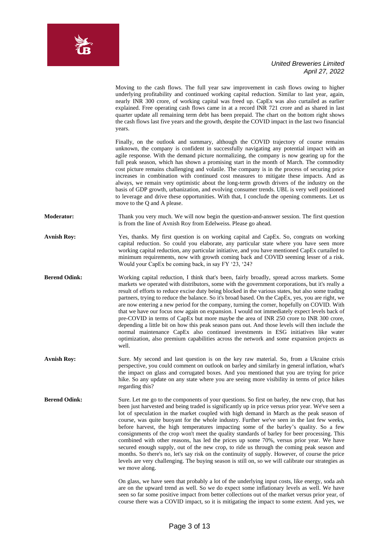

|                      | Moving to the cash flows. The full year saw improvement in cash flows owing to higher<br>underlying profitability and continued working capital reduction. Similar to last year, again,<br>nearly INR 300 crore, of working capital was freed up. CapEx was also curtailed as earlier<br>explained. Free operating cash flows came in at a record INR 721 crore and as shared in last<br>quarter update all remaining term debt has been prepaid. The chart on the bottom right shows<br>the cash flows last five years and the growth, despite the COVID impact in the last two financial<br>years.                                                                                                                                                                                                                                                                                                                                                                                                          |
|----------------------|---------------------------------------------------------------------------------------------------------------------------------------------------------------------------------------------------------------------------------------------------------------------------------------------------------------------------------------------------------------------------------------------------------------------------------------------------------------------------------------------------------------------------------------------------------------------------------------------------------------------------------------------------------------------------------------------------------------------------------------------------------------------------------------------------------------------------------------------------------------------------------------------------------------------------------------------------------------------------------------------------------------|
|                      | Finally, on the outlook and summary, although the COVID trajectory of course remains<br>unknown, the company is confident in successfully navigating any potential impact with an<br>agile response. With the demand picture normalizing, the company is now gearing up for the<br>full peak season, which has shown a promising start in the month of March. The commodity<br>cost picture remains challenging and volatile. The company is in the process of securing price<br>increases in combination with continued cost measures to mitigate these impacts. And as<br>always, we remain very optimistic about the long-term growth drivers of the industry on the<br>basis of GDP growth, urbanization, and evolving consumer trends. UBL is very well positioned<br>to leverage and drive these opportunities. With that, I conclude the opening comments. Let us<br>move to the Q and A please.                                                                                                       |
| <b>Moderator:</b>    | Thank you very much. We will now begin the question-and-answer session. The first question<br>is from the line of Avnish Roy from Edelweiss. Please go ahead.                                                                                                                                                                                                                                                                                                                                                                                                                                                                                                                                                                                                                                                                                                                                                                                                                                                 |
| <b>Avnish Roy:</b>   | Yes, thanks. My first question is on working capital and CapEx. So, congrats on working<br>capital reduction. So could you elaborate, any particular state where you have seen more<br>working capital reduction, any particular initiative, and you have mentioned CapEx curtailed to<br>minimum requirements, now with growth coming back and COVID seeming lesser of a risk.<br>Would your CapEx be coming back, in say FY '23, '24?                                                                                                                                                                                                                                                                                                                                                                                                                                                                                                                                                                       |
| <b>Berend Odink:</b> | Working capital reduction, I think that's been, fairly broadly, spread across markets. Some<br>markets we operated with distributors, some with the government corporations, but it's really a<br>result of efforts to reduce excise duty being blocked in the various states, but also some trading<br>partners, trying to reduce the balance. So it's broad based. On the CapEx, yes, you are right, we<br>are now entering a new period for the company, turning the corner, hopefully on COVID. With<br>that we have our focus now again on expansion. I would not immediately expect levels back of<br>pre-COVID in terms of CapEx but more maybe the area of INR 250 crore to INR 300 crore,<br>depending a little bit on how this peak season pans out. And those levels will then include the<br>normal maintenance CapEx also continued investments in ESG initiatives like water<br>optimization, also premium capabilities across the network and some expansion projects as<br>well.              |
| <b>Avnish Roy:</b>   | Sure. My second and last question is on the key raw material. So, from a Ukraine crisis<br>perspective, you could comment on outlook on barley and similarly in general inflation, what's<br>the impact on glass and corrugated boxes. And you mentioned that you are trying for price<br>hike. So any update on any state where you are seeing more visibility in terms of price hikes<br>regarding this?                                                                                                                                                                                                                                                                                                                                                                                                                                                                                                                                                                                                    |
| <b>Berend Odink:</b> | Sure. Let me go to the components of your questions. So first on barley, the new crop, that has<br>been just harvested and being traded is significantly up in price versus prior year. We've seen a<br>lot of speculation in the market coupled with high demand in March as the peak season of<br>course, was quite buoyant for the whole industry. Further we've seen in the last few weeks,<br>before harvest, the high temperatures impacting some of the barley's quality. So a few<br>consignments of the crop won't meet the quality standards of barley for beer processing. This<br>combined with other reasons, has led the prices up some 70%, versus prior year. We have<br>secured enough supply, out of the new crop, to ride us through the coming peak season and<br>months. So there's no, let's say risk on the continuity of supply. However, of course the price<br>levels are very challenging. The buying season is still on, so we will calibrate our strategies as<br>we move along. |
|                      | On glass, we have seen that probably a lot of the underlying input costs, like energy, soda ash<br>are on the upward trend as well. So we do expect some inflationary levels as well. We have<br>seen so far some positive impact from better collections out of the market versus prior year, of<br>course there was a COVID impact, so it is mitigating the impact to some extent. And yes, we                                                                                                                                                                                                                                                                                                                                                                                                                                                                                                                                                                                                              |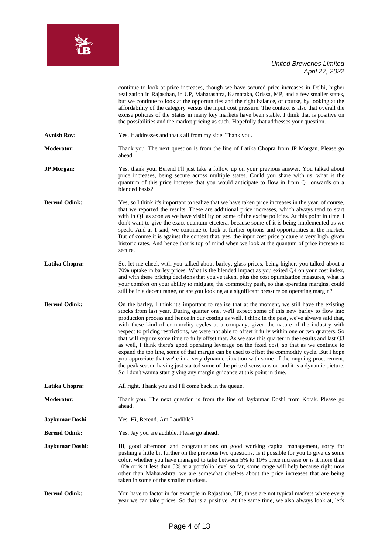

|                      | continue to look at price increases, though we have secured price increases in Delhi, higher<br>realization in Rajasthan, in UP, Maharashtra, Karnataka, Orissa, MP, and a few smaller states,<br>but we continue to look at the opportunities and the right balance, of course, by looking at the<br>affordability of the category versus the input cost pressure. The context is also that overall the<br>excise policies of the States in many key markets have been stable. I think that is positive on<br>the possibilities and the market pricing as such. Hopefully that addresses your question.                                                                                                                                                                                                                                                                                                                                                                                                                                                                                         |
|----------------------|--------------------------------------------------------------------------------------------------------------------------------------------------------------------------------------------------------------------------------------------------------------------------------------------------------------------------------------------------------------------------------------------------------------------------------------------------------------------------------------------------------------------------------------------------------------------------------------------------------------------------------------------------------------------------------------------------------------------------------------------------------------------------------------------------------------------------------------------------------------------------------------------------------------------------------------------------------------------------------------------------------------------------------------------------------------------------------------------------|
| <b>Avnish Roy:</b>   | Yes, it addresses and that's all from my side. Thank you.                                                                                                                                                                                                                                                                                                                                                                                                                                                                                                                                                                                                                                                                                                                                                                                                                                                                                                                                                                                                                                        |
| <b>Moderator:</b>    | Thank you. The next question is from the line of Latika Chopra from JP Morgan. Please go<br>ahead.                                                                                                                                                                                                                                                                                                                                                                                                                                                                                                                                                                                                                                                                                                                                                                                                                                                                                                                                                                                               |
| <b>JP</b> Morgan:    | Yes, thank you. Berend I'll just take a follow up on your previous answer. You talked about<br>price increases, being secure across multiple states. Could you share with us, what is the<br>quantum of this price increase that you would anticipate to flow in from Q1 onwards on a<br>blended basis?                                                                                                                                                                                                                                                                                                                                                                                                                                                                                                                                                                                                                                                                                                                                                                                          |
| <b>Berend Odink:</b> | Yes, so I think it's important to realize that we have taken price increases in the year, of course,<br>that we reported the results. These are additional price increases, which always tend to start<br>with in Q1 as soon as we have visibility on some of the excise policies. At this point in time, I<br>don't want to give the exact quantum etcetera, because some of it is being implemented as we<br>speak. And as I said, we continue to look at further options and opportunities in the market.<br>But of course it is against the context that, yes, the input cost price picture is very high, given<br>historic rates. And hence that is top of mind when we look at the quantum of price increase to<br>secure.                                                                                                                                                                                                                                                                                                                                                                 |
| Latika Chopra:       | So, let me check with you talked about barley, glass prices, being higher. you talked about a<br>70% uptake in barley prices. What is the blended impact as you exited Q4 on your cost index,<br>and with these pricing decisions that you've taken, plus the cost optimization measures, what is<br>your comfort on your ability to mitigate, the commodity push, so that operating margins, could<br>still be in a decent range, or are you looking at a significant pressure on operating margin?                                                                                                                                                                                                                                                                                                                                                                                                                                                                                                                                                                                             |
| <b>Berend Odink:</b> | On the barley, I think it's important to realize that at the moment, we still have the existing<br>stocks from last year. During quarter one, we'll expect some of this new barley to flow into<br>production process and hence in our costing as well. I think in the past, we've always said that,<br>with these kind of commodity cycles at a company, given the nature of the industry with<br>respect to pricing restrictions, we were not able to offset it fully within one or two quarters. So<br>that will require some time to fully offset that. As we saw this quarter in the results and last Q3<br>as well, I think there's good operating leverage on the fixed cost, so that as we continue to<br>expand the top line, some of that margin can be used to offset the commodity cycle. But I hope<br>you appreciate that we're in a very dynamic situation with some of the ongoing procurement,<br>the peak season having just started some of the price discussions on and it is a dynamic picture.<br>So I don't wanna start giving any margin guidance at this point in time. |
| Latika Chopra:       | All right. Thank you and I'll come back in the queue.                                                                                                                                                                                                                                                                                                                                                                                                                                                                                                                                                                                                                                                                                                                                                                                                                                                                                                                                                                                                                                            |
| <b>Moderator:</b>    | Thank you. The next question is from the line of Jaykumar Doshi from Kotak. Please go<br>ahead.                                                                                                                                                                                                                                                                                                                                                                                                                                                                                                                                                                                                                                                                                                                                                                                                                                                                                                                                                                                                  |
| Jaykumar Doshi       | Yes. Hi, Berend. Am I audible?                                                                                                                                                                                                                                                                                                                                                                                                                                                                                                                                                                                                                                                                                                                                                                                                                                                                                                                                                                                                                                                                   |
| <b>Berend Odink:</b> | Yes. Jay you are audible. Please go ahead.                                                                                                                                                                                                                                                                                                                                                                                                                                                                                                                                                                                                                                                                                                                                                                                                                                                                                                                                                                                                                                                       |
| Jaykumar Doshi:      | Hi, good afternoon and congratulations on good working capital management, sorry for<br>pushing a little bit further on the previous two questions. Is it possible for you to give us some<br>color, whether you have managed to take between 5% to 10% price increase or is it more than<br>10% or is it less than 5% at a portfolio level so far, some range will help because right now<br>other than Maharashtra, we are somewhat clueless about the price increases that are being<br>taken in some of the smaller markets.                                                                                                                                                                                                                                                                                                                                                                                                                                                                                                                                                                 |
| <b>Berend Odink:</b> | You have to factor in for example in Rajasthan, UP, those are not typical markets where every<br>year we can take prices. So that is a positive. At the same time, we also always look at, let's                                                                                                                                                                                                                                                                                                                                                                                                                                                                                                                                                                                                                                                                                                                                                                                                                                                                                                 |

**SERIES**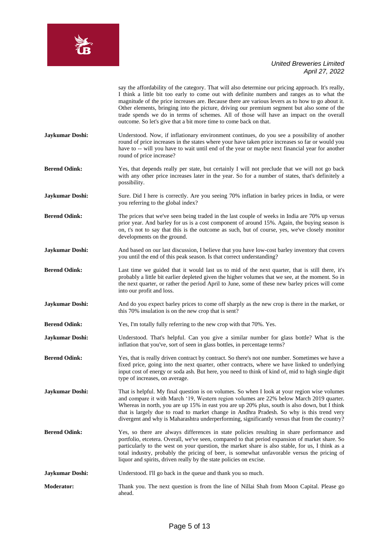

say the affordability of the category. That will also determine our pricing approach. It's really, I think a little bit too early to come out with definite numbers and ranges as to what the magnitude of the price increases are. Because there are various levers as to how to go about it. Other elements, bringing into the picture, driving our premium segment but also some of the trade spends we do in terms of schemes. All of those will have an impact on the overall outcome. So let's give that a bit more time to come back on that.

- **Jaykumar Doshi:** Understood. Now, if inflationary environment continues, do you see a possibility of another round of price increases in the states where your have taken price increases so far or would you have to -- will you have to wait until end of the year or maybe next financial year for another round of price increase?
- Berend Odink: Yes, that depends really per state, but certainly I will not preclude that we will not go back with any other price increases later in the year. So for a number of states, that's definitely a possibility.
- **Jaykumar Doshi:** Sure. Did I here is correctly. Are you seeing 70% inflation in barley prices in India, or were you referring to the global index?
- **Berend Odink:** The prices that we've seen being traded in the last couple of weeks in India are 70% up versus prior year. And barley for us is a cost component of around 15%. Again, the buying season is on, t's not to say that this is the outcome as such, but of course, yes, we've closely monitor developments on the ground.
- **Jaykumar Doshi:** And based on our last discussion, I believe that you have low-cost barley inventory that covers you until the end of this peak season. Is that correct understanding?
- **Berend Odink:** Last time we guided that it would last us to mid of the next quarter, that is still there, it's probably a little bit earlier depleted given the higher volumes that we see, at the moment. So in the next quarter, or rather the period April to June, some of these new barley prices will come into our profit and loss.
- **Jaykumar Doshi:** And do you expect barley prices to come off sharply as the new crop is there in the market, or this 70% insulation is on the new crop that is sent?
- **Berend Odink:** Yes, I'm totally fully referring to the new crop with that 70%. Yes.
- **Jaykumar Doshi:** Understood. That's helpful. Can you give a similar number for glass bottle? What is the inflation that you've, sort of seen in glass bottles, in percentage terms?
- **Berend Odink:** Yes, that is really driven contract by contract. So there's not one number. Sometimes we have a fixed price, going into the next quarter, other contracts, where we have linked to underlying input cost of energy or soda ash. But here, you need to think of kind of, mid to high single digit type of increases, on average.
- **Jaykumar Doshi:** That is helpful. My final question is on volumes. So when I look at your region wise volumes and compare it with March '19, Western region volumes are 22% below March 2019 quarter. Whereas in north, you are up 15% in east you are up 20% plus, south is also down, but I think that is largely due to road to market change in Andhra Pradesh. So why is this trend very divergent and why is Maharashtra underperforming, significantly versus that from the country?
- **Berend Odink:** Yes, so there are always differences in state policies resulting in share performance and portfolio, etcetera. Overall, we've seen, compared to that period expansion of market share. So particularly to the west on your question, the market share is also stable, for us, I think as a total industry, probably the pricing of beer, is somewhat unfavorable versus the pricing of liquor and spirits, driven really by the state policies on excise.
- **Jaykumar Doshi:** Understood. I'll go back in the queue and thank you so much.
- **Moderator:** Thank you. The next question is from the line of Nillai Shah from Moon Capital. Please go ahead.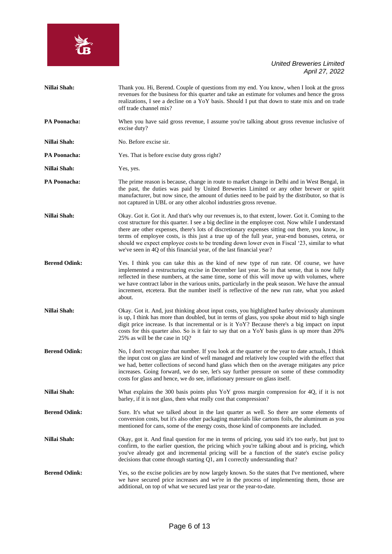

| Nillai Shah:         | Thank you. Hi, Berend. Couple of questions from my end. You know, when I look at the gross<br>revenues for the business for this quarter and take an estimate for volumes and hence the gross<br>realizations, I see a decline on a YoY basis. Should I put that down to state mix and on trade<br>off trade channel mix?                                                                                                                                                                                                                                                              |
|----------------------|----------------------------------------------------------------------------------------------------------------------------------------------------------------------------------------------------------------------------------------------------------------------------------------------------------------------------------------------------------------------------------------------------------------------------------------------------------------------------------------------------------------------------------------------------------------------------------------|
| <b>PA Poonacha:</b>  | When you have said gross revenue, I assume you're talking about gross revenue inclusive of<br>excise duty?                                                                                                                                                                                                                                                                                                                                                                                                                                                                             |
| Nillai Shah:         | No. Before excise sir.                                                                                                                                                                                                                                                                                                                                                                                                                                                                                                                                                                 |
| <b>PA Poonacha:</b>  | Yes. That is before excise duty gross right?                                                                                                                                                                                                                                                                                                                                                                                                                                                                                                                                           |
| Nillai Shah:         | Yes, yes.                                                                                                                                                                                                                                                                                                                                                                                                                                                                                                                                                                              |
| <b>PA Poonacha:</b>  | The prime reason is because, change in route to market change in Delhi and in West Bengal, in<br>the past, the duties was paid by United Breweries Limited or any other brewer or spirit<br>manufacturer, but now since, the amount of duties need to be paid by the distributor, so that is<br>not captured in UBL or any other alcohol industries gross revenue.                                                                                                                                                                                                                     |
| Nillai Shah:         | Okay. Got it. Got it. And that's why our revenues is, to that extent, lower. Got it. Coming to the<br>cost structure for this quarter. I see a big decline in the employee cost. Now while I understand<br>there are other expenses, there's lots of discretionary expenses sitting out there, you know, in<br>terms of employee costs, is this just a true up of the full year, year-end bonuses, cetera, or<br>should we expect employee costs to be trending down lower even in Fiscal '23, similar to what<br>we've seen in 4Q of this financial year, of the last financial year? |
| <b>Berend Odink:</b> | Yes. I think you can take this as the kind of new type of run rate. Of course, we have<br>implemented a restructuring excise in December last year. So in that sense, that is now fully<br>reflected in these numbers, at the same time, some of this will move up with volumes, where<br>we have contract labor in the various units, particularly in the peak season. We have the annual<br>increment, etcetera. But the number itself is reflective of the new run rate, what you asked<br>about.                                                                                   |
| Nillai Shah:         | Okay. Got it. And, just thinking about input costs, you highlighted barley obviously aluminum<br>is up, I think has more than doubled, but in terms of glass, you spoke about mid to high single<br>digit price increase. Is that incremental or is it YoY? Because there's a big impact on input<br>costs for this quarter also. So is it fair to say that on a YoY basis glass is up more than 20%<br>25% as will be the case in 1Q?                                                                                                                                                 |
| <b>Berend Odink:</b> | No, I don't recognize that number. If you look at the quarter or the year to date actuals, I think<br>the input cost on glass are kind of well managed and relatively low coupled with the effect that<br>we had, better collections of second hand glass which then on the average mitigates any price<br>increases. Going forward, we do see, let's say further pressure on some of these commodity<br>costs for glass and hence, we do see, inflationary pressure on glass itself.                                                                                                  |
| Nillai Shah:         | What explains the 300 basis points plus YoY gross margin compression for 4Q, if it is not<br>barley, if it is not glass, then what really cost that compression?                                                                                                                                                                                                                                                                                                                                                                                                                       |
| <b>Berend Odink:</b> | Sure. It's what we talked about in the last quarter as well. So there are some elements of<br>conversion costs, but it's also other packaging materials like cartons foils, the aluminum as you<br>mentioned for cans, some of the energy costs, those kind of components are included.                                                                                                                                                                                                                                                                                                |
| Nillai Shah:         | Okay, got it. And final question for me in terms of pricing, you said it's too early, but just to<br>confirm, to the earlier question, the pricing which you're talking about and is pricing, which<br>you've already got and incremental pricing will be a function of the state's excise policy<br>decisions that come through starting Q1, am I correctly understanding that?                                                                                                                                                                                                       |
| <b>Berend Odink:</b> | Yes, so the excise policies are by now largely known. So the states that I've mentioned, where<br>we have secured price increases and we're in the process of implementing them, those are<br>additional, on top of what we secured last year or the year-to-date.                                                                                                                                                                                                                                                                                                                     |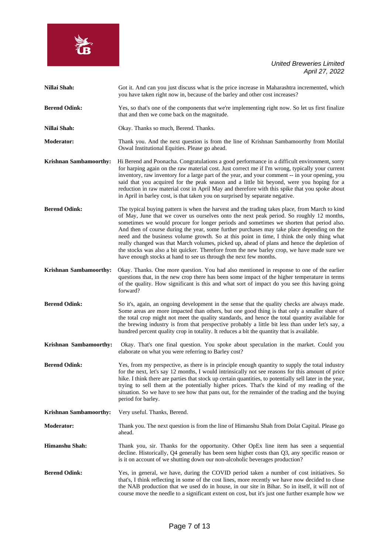

| Nillai Shah:                  | Got it. And can you just discuss what is the price increase in Maharashtra incremented, which<br>you have taken right now in, because of the barley and other cost increases?                                                                                                                                                                                                                                                                                                                                                                                                                                                                                                                                                                         |
|-------------------------------|-------------------------------------------------------------------------------------------------------------------------------------------------------------------------------------------------------------------------------------------------------------------------------------------------------------------------------------------------------------------------------------------------------------------------------------------------------------------------------------------------------------------------------------------------------------------------------------------------------------------------------------------------------------------------------------------------------------------------------------------------------|
| <b>Berend Odink:</b>          | Yes, so that's one of the components that we're implementing right now. So let us first finalize<br>that and then we come back on the magnitude.                                                                                                                                                                                                                                                                                                                                                                                                                                                                                                                                                                                                      |
| Nillai Shah:                  | Okay. Thanks so much, Berend. Thanks.                                                                                                                                                                                                                                                                                                                                                                                                                                                                                                                                                                                                                                                                                                                 |
| <b>Moderator:</b>             | Thank you. And the next question is from the line of Krishnan Sambamoorthy from Motilal<br>Oswal Institutional Equities. Please go ahead.                                                                                                                                                                                                                                                                                                                                                                                                                                                                                                                                                                                                             |
| Krishnan Sambamoorthy:        | Hi Berend and Poonacha. Congratulations a good performance in a difficult environment, sorry<br>for harping again on the raw material cost. Just correct me if I'm wrong, typically your current<br>inventory, raw inventory for a large part of the year, and your comment -- in your opening, you<br>said that you acquired for the peak season and a little bit beyond, were you hoping for a<br>reduction in raw material cost in April May and therefore with this spike that you spoke about<br>in April in barley cost, is that taken you on surprised by separate negative.                                                                                                                                                                   |
| <b>Berend Odink:</b>          | The typical buying pattern is when the harvest and the trading takes place, from March to kind<br>of May, June that we cover us ourselves onto the next peak period. So roughly 12 months,<br>sometimes we would procure for longer periods and sometimes we shorten that period also.<br>And then of course during the year, some further purchases may take place depending on the<br>need and the business volume growth. So at this point in time, I think the only thing what<br>really changed was that March volumes, picked up, ahead of plans and hence the depletion of<br>the stocks was also a bit quicker. Therefore from the new barley crop, we have made sure we<br>have enough stocks at hand to see us through the next few months. |
| <b>Krishnan Sambamoorthy:</b> | Okay. Thanks. One more question. You had also mentioned in response to one of the earlier<br>questions that, in the new crop there has been some impact of the higher temperature in terms<br>of the quality. How significant is this and what sort of impact do you see this having going<br>forward?                                                                                                                                                                                                                                                                                                                                                                                                                                                |
| <b>Berend Odink:</b>          | So it's, again, an ongoing development in the sense that the quality checks are always made.<br>Some areas are more impacted than others, but one good thing is that only a smaller share of<br>the total crop might not meet the quality standards, and hence the total quantity available for<br>the brewing industry is from that perspective probably a little bit less than under let's say, a<br>hundred percent quality crop in totality. It reduces a bit the quantity that is available.                                                                                                                                                                                                                                                     |
| Krishnan Sambamoorthy:        | Okay. That's one final question. You spoke about speculation in the market. Could you<br>elaborate on what you were referring to Barley cost?                                                                                                                                                                                                                                                                                                                                                                                                                                                                                                                                                                                                         |
| <b>Berend Odink:</b>          | Yes, from my perspective, as there is in principle enough quantity to supply the total industry<br>for the next, let's say 12 months, I would intrinsically not see reasons for this amount of price                                                                                                                                                                                                                                                                                                                                                                                                                                                                                                                                                  |

hike. I think there are parties that stock up certain quantities, to potentially sell later in the year, trying to sell them at the potentially higher prices. That's the kind of my reading of the situation. So we have to see how that pans out, for the remainder of the trading and the buying period for barley.

**Krishnan Sambamoorthy:** Very useful. Thanks, Berend.

**Moderator:** Thank you. The next question is from the line of Himanshu Shah from Dolat Capital. Please go ahead.

- **Himanshu Shah:** Thank you, sir. Thanks for the opportunity. Other OpEx line item has seen a sequential decline. Historically, Q4 generally has been seen higher costs than Q3, any specific reason or is it on account of we shutting down our non-alcoholic beverages production?
- **Berend Odink:** Yes, in general, we have, during the COVID period taken a number of cost initiatives. So that's, I think reflecting in some of the cost lines, more recently we have now decided to close the NAB production that we used do in house, in our site in Bihar. So in itself, it will not of course move the needle to a significant extent on cost, but it's just one further example how we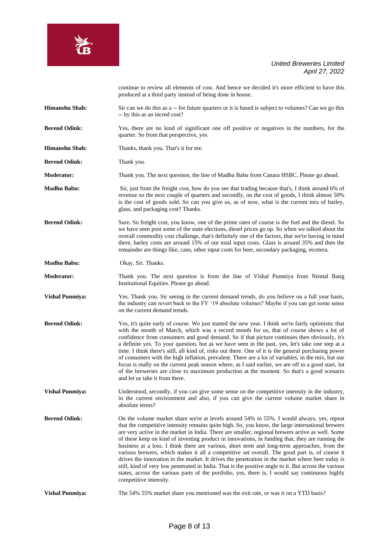

continue to review all elements of cost. And hence we decided it's more efficient to have this produced at a third party instead of being done in house.

- **Himanshu Shah:** Sir can we do this as a -- for future quarters or it is based is subject to volumes? Can we go this -- by this as an incred cost?
- **Berend Odink:** Yes, there are no kind of significant one off positive or negatives in the numbers, for the quarter. So from that perspective, yes.
- **Himanshu Shah:** Thanks, thank you. That's it for me.
- **Berend Odink:** Thank you.
- **Moderator:** Thank you. The next question, the line of Madhu Babu from Canara HSBC. Please go ahead.
- **Madhu Babu:** Sir, just from the freight cost, how do you see that trading because that's, I think around 6% of revenue so the next couple of quarters and secondly, on the cost of goods, I think almost 50% is the cost of goods sold. So can you give us, as of now, what is the current mix of barley, glass, and packaging cost? Thanks.
- **Berend Odink:** Sure. So freight cost, you know, one of the prime rates of course is the fuel and the diesel. So we have seen post some of the state elections, diesel prices go up. So when we talked about the overall commodity cost challenge, that's definitely one of the factors, that we're having in mind there, barley costs are around 15% of our total input costs. Glass is around 35% and then the remainder are things like, cans, other input costs for beer, secondary packaging, etcetera.
- **Madhu Babu:** Okay, Sir. Thanks.
- **Moderator:** Thank you. The next question is from the line of Vishal Punmiya from Nirmal Bang Institutional Equities. Please go ahead.
- **Vishal Punmiya:** Yes. Thank you. Sir seeing in the current demand trends, do you believe on a full year basis, the industry can revert back to the FY '19 absolute volumes? Maybe if you can get some sense on the current demand trends.
- **Berend Odink:** Yes, it's quite early of course. We just started the new year. I think we're fairly optimistic that with the month of March, which was a record month for us, that of course shows a lot of confidence from consumers and good demand. So if that picture continues then obviously, it's a definite yes. To your question, but as we have seen in the past, yes, let's take one step at a time. I think there's still, all kind of, risks out there. One of it is the general purchasing power of consumers with the high inflation, prevalent. There are a lot of variables, in the mix, but our focus is really on the current peak season where, as I said earlier, we are off to a good start, lot of the breweries are close to maximum production at the moment. So that's a good scenario and let us take it from there.
- **Vishal Punmiya:** Understood, secondly, if you can give some sense on the competitive intensity in the industry, in the current environment and also, if you can give the current volume market share in absolute terms?
- **Berend Odink:** On the volume market share we're at levels around 54% to 55%. I would always, yes, repeat that the competitive intensity remains quite high. So, you know, the large international brewers are very active in the market in India. There are smaller, regional brewers active as well. Some of these keep on kind of investing product in innovations, in funding that, they are running the business at a loss. I think there are various, short term and long-term approaches, from the various brewers, which makes it all a competitive set overall. The good part is, of course it drives the innovation in the market. It drives the penetration in the market where beer today is still, kind of very low penetrated in India. That is the positive angle to it. But across the various states, across the various parts of the portfolio, yes, there is, I would say continuous highly competitive intensity.
- **Vishal Punmiya:** The 54% 55% market share you mentioned was the exit rate, or was it on a YTD basis?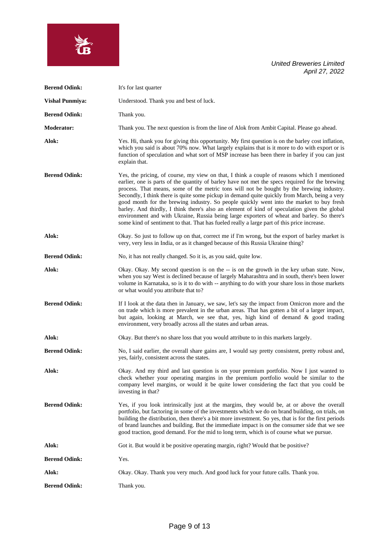| <b>Berend Odink:</b>   | It's for last quarter                                                                                                                                                                                                                                                                                                                                                                                                                                                                                                                                                                                                                                                                                                                                                                |
|------------------------|--------------------------------------------------------------------------------------------------------------------------------------------------------------------------------------------------------------------------------------------------------------------------------------------------------------------------------------------------------------------------------------------------------------------------------------------------------------------------------------------------------------------------------------------------------------------------------------------------------------------------------------------------------------------------------------------------------------------------------------------------------------------------------------|
| <b>Vishal Punmiya:</b> | Understood. Thank you and best of luck.                                                                                                                                                                                                                                                                                                                                                                                                                                                                                                                                                                                                                                                                                                                                              |
| <b>Berend Odink:</b>   | Thank you.                                                                                                                                                                                                                                                                                                                                                                                                                                                                                                                                                                                                                                                                                                                                                                           |
| <b>Moderator:</b>      | Thank you. The next question is from the line of Alok from Ambit Capital. Please go ahead.                                                                                                                                                                                                                                                                                                                                                                                                                                                                                                                                                                                                                                                                                           |
| Alok:                  | Yes. Hi, thank you for giving this opportunity. My first question is on the barley cost inflation,<br>which you said is about 70% now. What largely explains that is it more to do with export or is<br>function of speculation and what sort of MSP increase has been there in barley if you can just<br>explain that.                                                                                                                                                                                                                                                                                                                                                                                                                                                              |
| <b>Berend Odink:</b>   | Yes, the pricing, of course, my view on that, I think a couple of reasons which I mentioned<br>earlier, one is parts of the quantity of barley have not met the specs required for the brewing<br>process. That means, some of the metric tons will not be bought by the brewing industry.<br>Secondly, I think there is quite some pickup in demand quite quickly from March, being a very<br>good month for the brewing industry. So people quickly went into the market to buy fresh<br>barley. And thirdly, I think there's also an element of kind of speculation given the global<br>environment and with Ukraine, Russia being large exporters of wheat and barley. So there's<br>some kind of sentiment to that. That has fueled really a large part of this price increase. |
| Alok:                  | Okay. So just to follow up on that, correct me if I'm wrong, but the export of barley market is<br>very, very less in India, or as it changed because of this Russia Ukraine thing?                                                                                                                                                                                                                                                                                                                                                                                                                                                                                                                                                                                                  |
| <b>Berend Odink:</b>   | No, it has not really changed. So it is, as you said, quite low.                                                                                                                                                                                                                                                                                                                                                                                                                                                                                                                                                                                                                                                                                                                     |
| Alok:                  | Okay. Okay. My second question is on the -- is on the growth in the key urban state. Now,<br>when you say West is declined because of largely Maharashtra and in south, there's been lower<br>volume in Karnataka, so is it to do with -- anything to do with your share loss in those markets<br>or what would you attribute that to?                                                                                                                                                                                                                                                                                                                                                                                                                                               |
| <b>Berend Odink:</b>   | If I look at the data then in January, we saw, let's say the impact from Omicron more and the<br>on trade which is more prevalent in the urban areas. That has gotten a bit of a larger impact,<br>but again, looking at March, we see that, yes, high kind of demand & good trading<br>environment, very broadly across all the states and urban areas.                                                                                                                                                                                                                                                                                                                                                                                                                             |
| Alok:                  | Okay. But there's no share loss that you would attribute to in this markets largely.                                                                                                                                                                                                                                                                                                                                                                                                                                                                                                                                                                                                                                                                                                 |
| <b>Berend Odink:</b>   | No, I said earlier, the overall share gains are, I would say pretty consistent, pretty robust and,<br>yes, fairly, consistent across the states.                                                                                                                                                                                                                                                                                                                                                                                                                                                                                                                                                                                                                                     |
| Alok:                  | Okay. And my third and last question is on your premium portfolio. Now I just wanted to<br>check whether your operating margins in the premium portfolio would be similar to the<br>company level margins, or would it be quite lower considering the fact that you could be<br>investing in that?                                                                                                                                                                                                                                                                                                                                                                                                                                                                                   |
| <b>Berend Odink:</b>   | Yes, if you look intrinsically just at the margins, they would be, at or above the overall<br>portfolio, but factoring in some of the investments which we do on brand building, on trials, on<br>building the distribution, then there's a bit more investment. So yes, that is for the first periods<br>of brand launches and building. But the immediate impact is on the consumer side that we see<br>good traction, good demand. For the mid to long term, which is of course what we pursue.                                                                                                                                                                                                                                                                                   |
| Alok:                  | Got it. But would it be positive operating margin, right? Would that be positive?                                                                                                                                                                                                                                                                                                                                                                                                                                                                                                                                                                                                                                                                                                    |
| <b>Berend Odink:</b>   | Yes.                                                                                                                                                                                                                                                                                                                                                                                                                                                                                                                                                                                                                                                                                                                                                                                 |
| Alok:                  | Okay. Okay. Thank you very much. And good luck for your future calls. Thank you.                                                                                                                                                                                                                                                                                                                                                                                                                                                                                                                                                                                                                                                                                                     |
| <b>Berend Odink:</b>   | Thank you.                                                                                                                                                                                                                                                                                                                                                                                                                                                                                                                                                                                                                                                                                                                                                                           |

**SASS**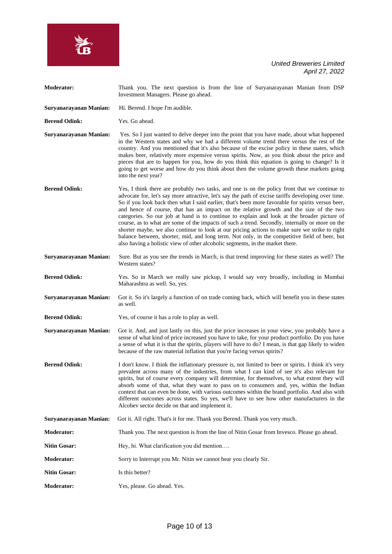

| <b>Moderator:</b>      | Thank you. The next question is from the line of Suryanarayanan Manian from DSP<br>Investment Managers. Please go ahead.                                                                                                                                                                                                                                                                                                                                                                                                                                                                                                                                                                                                                                                                                                                                                                  |
|------------------------|-------------------------------------------------------------------------------------------------------------------------------------------------------------------------------------------------------------------------------------------------------------------------------------------------------------------------------------------------------------------------------------------------------------------------------------------------------------------------------------------------------------------------------------------------------------------------------------------------------------------------------------------------------------------------------------------------------------------------------------------------------------------------------------------------------------------------------------------------------------------------------------------|
| Suryanarayanan Manian: | Hi. Berend. I hope I'm audible.                                                                                                                                                                                                                                                                                                                                                                                                                                                                                                                                                                                                                                                                                                                                                                                                                                                           |
| <b>Berend Odink:</b>   | Yes. Go ahead.                                                                                                                                                                                                                                                                                                                                                                                                                                                                                                                                                                                                                                                                                                                                                                                                                                                                            |
| Suryanarayanan Manian: | Yes. So I just wanted to delve deeper into the point that you have made, about what happened<br>in the Western states and why we had a different volume trend there versus the rest of the<br>country. And you mentioned that it's also because of the excise policy in these states, which<br>makes beer, relatively more expensive versus spirits. Now, as you think about the price and<br>pieces that are to happen for you, how do you think this equation is going to change? Is it<br>going to get worse and how do you think about then the volume growth these markets going<br>into the next year?                                                                                                                                                                                                                                                                              |
| <b>Berend Odink:</b>   | Yes, I think there are probably two tasks, and one is on the policy front that we continue to<br>advocate for, let's say more attractive, let's say the path of excise tariffs developing over time.<br>So if you look back then what I said earlier, that's been more favorable for spirits versus beer,<br>and hence of course, that has an impact on the relative growth and the size of the two<br>categories. So our job at hand is to continue to explain and look at the broader picture of<br>course, as to what are some of the impacts of such a trend. Secondly, internally or more on the<br>shorter maybe, we also continue to look at our pricing actions to make sure we strike to right<br>balance between, shorter, mid, and long term. Not only, in the competitive field of beer, but<br>also having a holistic view of other alcoholic segments, in the market there. |
| Suryanarayanan Manian: | Sure. But as you see the trends in March, is that trend improving for these states as well? The<br>Western states?                                                                                                                                                                                                                                                                                                                                                                                                                                                                                                                                                                                                                                                                                                                                                                        |
| <b>Berend Odink:</b>   | Yes. So in March we really saw pickup, I would say very broadly, including in Mumbai<br>Maharashtra as well. So, yes.                                                                                                                                                                                                                                                                                                                                                                                                                                                                                                                                                                                                                                                                                                                                                                     |
| Suryanarayanan Manian: | Got it. So it's largely a function of on trade coming back, which will benefit you in these states<br>as well.                                                                                                                                                                                                                                                                                                                                                                                                                                                                                                                                                                                                                                                                                                                                                                            |
| <b>Berend Odink:</b>   | Yes, of course it has a role to play as well.                                                                                                                                                                                                                                                                                                                                                                                                                                                                                                                                                                                                                                                                                                                                                                                                                                             |
| Suryanarayanan Manian: | Got it. And, and just lastly on this, just the price increases in your view, you probably have a<br>sense of what kind of price increased you have to take, for your product portfolio. Do you have<br>a sense of what it is that the spirits, players will have to do? I mean, is that gap likely to widen<br>because of the raw material inflation that you're facing versus spirits?                                                                                                                                                                                                                                                                                                                                                                                                                                                                                                   |
| <b>Berend Odink:</b>   | I don't know. I think the inflationary pressure is, not limited to beer or spirits. I think it's very<br>prevalent across many of the industries, from what I can kind of see it's also relevant for<br>spirits, but of course every company will determine, for themselves, to what extent they will<br>absorb some of that, what they want to pass on to consumers and, yes, within the Indian<br>context that can even be done, with various outcomes within the brand portfolio. And also with<br>different outcomes across states. So yes, we'll have to see how other manufacturers in the<br>Alcobev sector decide on that and implement it.                                                                                                                                                                                                                                       |
| Suryanarayanan Manian: | Got it. All right. That's it for me. Thank you Berend. Thank you very much.                                                                                                                                                                                                                                                                                                                                                                                                                                                                                                                                                                                                                                                                                                                                                                                                               |
| <b>Moderator:</b>      | Thank you. The next question is from the line of Nitin Gosar from Invesco. Please go ahead.                                                                                                                                                                                                                                                                                                                                                                                                                                                                                                                                                                                                                                                                                                                                                                                               |
| <b>Nitin Gosar:</b>    | Hey, hi. What clarification you did mention                                                                                                                                                                                                                                                                                                                                                                                                                                                                                                                                                                                                                                                                                                                                                                                                                                               |
| <b>Moderator:</b>      | Sorry to Interrupt you Mr. Nitin we cannot hear you clearly Sir.                                                                                                                                                                                                                                                                                                                                                                                                                                                                                                                                                                                                                                                                                                                                                                                                                          |
| <b>Nitin Gosar:</b>    | Is this better?                                                                                                                                                                                                                                                                                                                                                                                                                                                                                                                                                                                                                                                                                                                                                                                                                                                                           |
| <b>Moderator:</b>      | Yes, please. Go ahead. Yes.                                                                                                                                                                                                                                                                                                                                                                                                                                                                                                                                                                                                                                                                                                                                                                                                                                                               |

**SERIES**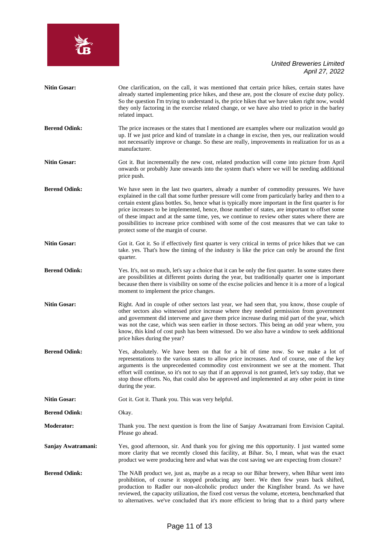

| <b>Nitin Gosar:</b>  | One clarification, on the call, it was mentioned that certain price hikes, certain states have<br>already started implementing price hikes, and these are, post the closure of excise duty policy.<br>So the question I'm trying to understand is, the price hikes that we have taken right now, would<br>they only factoring in the exercise related change, or we have also tried to price in the barley<br>related impact.                                                                                                                                                                                                                   |
|----------------------|-------------------------------------------------------------------------------------------------------------------------------------------------------------------------------------------------------------------------------------------------------------------------------------------------------------------------------------------------------------------------------------------------------------------------------------------------------------------------------------------------------------------------------------------------------------------------------------------------------------------------------------------------|
| <b>Berend Odink:</b> | The price increases or the states that I mentioned are examples where our realization would go<br>up. If we just price and kind of translate in a change in excise, then yes, our realization would<br>not necessarily improve or change. So these are really, improvements in realization for us as a<br>manufacturer.                                                                                                                                                                                                                                                                                                                         |
| <b>Nitin Gosar:</b>  | Got it. But incrementally the new cost, related production will come into picture from April<br>onwards or probably June onwards into the system that's where we will be needing additional<br>price push.                                                                                                                                                                                                                                                                                                                                                                                                                                      |
| <b>Berend Odink:</b> | We have seen in the last two quarters, already a number of commodity pressures. We have<br>explained in the call that some further pressure will come from particularly barley and then to a<br>certain extent glass bottles. So, hence what is typically more important in the first quarter is for<br>price increases to be implemented, hence, those number of states, are important to offset some<br>of these impact and at the same time, yes, we continue to review other states where there are<br>possibilities to increase price combined with some of the cost measures that we can take to<br>protect some of the margin of course. |
| <b>Nitin Gosar:</b>  | Got it. Got it. So if effectively first quarter is very critical in terms of price hikes that we can<br>take. yes. That's how the timing of the industry is like the price can only be around the first<br>quarter.                                                                                                                                                                                                                                                                                                                                                                                                                             |
| <b>Berend Odink:</b> | Yes. It's, not so much, let's say a choice that it can be only the first quarter. In some states there<br>are possibilities at different points during the year, but traditionally quarter one is important<br>because then there is visibility on some of the excise policies and hence it is a more of a logical<br>moment to implement the price changes.                                                                                                                                                                                                                                                                                    |
| <b>Nitin Gosar:</b>  | Right. And in couple of other sectors last year, we had seen that, you know, those couple of<br>other sectors also witnessed price increase where they needed permission from government<br>and government did intervene and gave them price increase during mid part of the year, which<br>was not the case, which was seen earlier in those sectors. This being an odd year where, you<br>know, this kind of cost push has been witnessed. Do we also have a window to seek additional<br>price hikes during the year?                                                                                                                        |
| <b>Berend Odink:</b> | Yes, absolutely. We have been on that for a bit of time now. So we make a lot of<br>representations to the various states to allow price increases. And of course, one of the key<br>arguments is the unprecedented commodity cost environment we see at the moment. That<br>effort will continue, so it's not to say that if an approval is not granted, let's say today, that we<br>stop those efforts. No, that could also be approved and implemented at any other point in time<br>during the year.                                                                                                                                        |
| <b>Nitin Gosar:</b>  | Got it. Got it. Thank you. This was very helpful.                                                                                                                                                                                                                                                                                                                                                                                                                                                                                                                                                                                               |
| <b>Berend Odink:</b> | Okay.                                                                                                                                                                                                                                                                                                                                                                                                                                                                                                                                                                                                                                           |
| Moderator:           | Thank you. The next question is from the line of Sanjay Awatramani from Envision Capital.<br>Please go ahead.                                                                                                                                                                                                                                                                                                                                                                                                                                                                                                                                   |
| Sanjay Awatramani:   | Yes, good afternoon, sir. And thank you for giving me this opportunity. I just wanted some<br>more clarity that we recently closed this facility, at Bihar. So, I mean, what was the exact<br>product we were producing here and what was the cost saving we are expecting from closure?                                                                                                                                                                                                                                                                                                                                                        |
| <b>Berend Odink:</b> | The NAB product we, just as, maybe as a recap so our Bihar brewery, when Bihar went into<br>prohibition, of course it stopped producing any beer. We then few years back shifted,<br>production to Radler our non-alcoholic product under the Kingfisher brand. As we have<br>reviewed, the capacity utilization, the fixed cost versus the volume, etcetera, benchmarked that<br>to alternatives. we've concluded that it's more efficient to bring that to a third party where                                                                                                                                                                |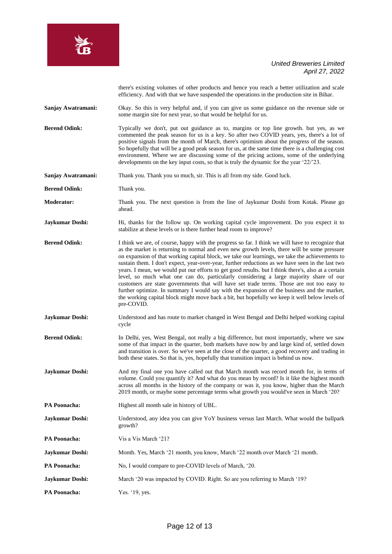

there's existing volumes of other products and hence you reach a better utilization and scale efficiency. And with that we have suspended the operations in the production site in Bihar.

**Sanjay Awatramani:** Okay. So this is very helpful and, if you can give us some guidance on the revenue side or some margin site for next year, so that would be helpful for us.

**Berend Odink:** Typically we don't, put out guidance as to, margins or top line growth. but yes, as we commented the peak season for us is a key. So after two COVID years, yes, there's a lot of positive signals from the month of March, there's optimism about the progress of the season. So hopefully that will be a good peak season for us, at the same time there is a challenging cost environment. Where we are discussing some of the pricing actions, some of the underlying developments on the key input costs, so that is truly the dynamic for the year '22/'23.

**Sanjay Awatramani:** Thank you. Thank you so much, sir. This is all from my side. Good luck.

**Berend Odink:** Thank you.

**Moderator:** Thank you. The next question is from the line of Jaykumar Doshi from Kotak. Please go ahead.

**Jaykumar Doshi:** Hi, thanks for the follow up. On working capital cycle improvement. Do you expect it to stabilize at these levels or is there further head room to improve?

**Berend Odink:** I think we are, of course, happy with the progress so far. I think we will have to recognize that as the market is returning to normal and even new growth levels, there will be some pressure on expansion of that working capital block, we take our learnings, we take the achievements to sustain them. I don't expect, year-over-year, further reductions as we have seen in the last two years. I mean, we would put our efforts to get good results. but I think there's, also at a certain level, so much what one can do, particularly considering a large majority share of our customers are state governments that will have set trade terms. Those are not too easy to further optimize. In summary I would say with the expansion of the business and the market, the working capital block might move back a bit, but hopefully we keep it well below levels of pre-COVID.

**Jaykumar Doshi:** Understood and has route to market changed in West Bengal and Delhi helped working capital cycle

Berend Odink: In Delhi, yes, West Bengal, not really a big difference, but most importantly, where we saw some of that impact in the quarter, both markets have now by and large kind of, settled down and transition is over. So we've seen at the close of the quarter, a good recovery and trading in both these states. So that is, yes, hopefully that transition impact is behind us now.

**Jaykumar Doshi:** And my final one you have called out that March month was record month for, in terms of volume. Could you quantify it? And what do you mean by record? Is it like the highest month across all months in the history of the company or was it, you know, higher than the March 2019 month, or maybe some percentage terms what growth you would've seen in March '20?

PA Poonacha: Highest all month sale in history of UBL.

**Jaykumar Doshi:** Understood, any idea you can give YoY business versus last March. What would the ballpark growth?

**PA Poonacha:** Vis a Vis March '21?

**Jaykumar Doshi:** Month. Yes, March '21 month, you know, March '22 month over March '21 month.

**PA Poonacha:** No, I would compare to pre-COVID levels of March, '20.

**Jaykumar Doshi:** March '20 was impacted by COVID. Right. So are you referring to March '19?

PA Poonacha: Yes. '19, yes.